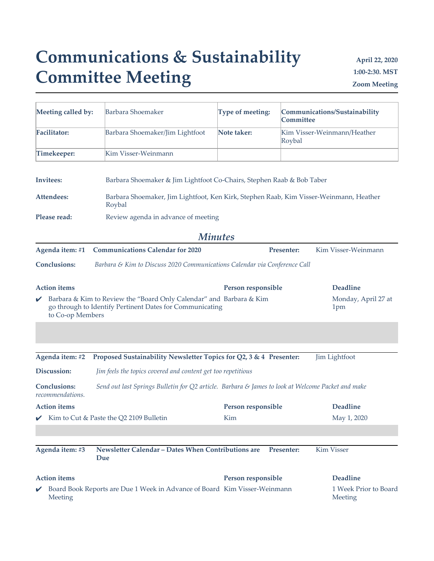## **Communications & Sustainability Committee Meeting**

**April 22, 2020 1:00-2:30. MST Zoom Meeting**

| Meeting called by:                                                                                                                                  | Barbara Shoemaker                                                                                 | Type of meeting:   | <b>Committee</b> | Communications/Sustainability    |  |
|-----------------------------------------------------------------------------------------------------------------------------------------------------|---------------------------------------------------------------------------------------------------|--------------------|------------------|----------------------------------|--|
| <b>Facilitator:</b>                                                                                                                                 | Barbara Shoemaker/Jim Lightfoot                                                                   | Note taker:        | Roybal           | Kim Visser-Weinmann/Heather      |  |
| Timekeeper:                                                                                                                                         | Kim Visser-Weinmann                                                                               |                    |                  |                                  |  |
| Invitees:                                                                                                                                           | Barbara Shoemaker & Jim Lightfoot Co-Chairs, Stephen Raab & Bob Taber                             |                    |                  |                                  |  |
| Attendees:                                                                                                                                          | Barbara Shoemaker, Jim Lightfoot, Ken Kirk, Stephen Raab, Kim Visser-Weinmann, Heather<br>Roybal  |                    |                  |                                  |  |
| Please read:                                                                                                                                        | Review agenda in advance of meeting                                                               |                    |                  |                                  |  |
|                                                                                                                                                     |                                                                                                   | <b>Minutes</b>     |                  |                                  |  |
| Agenda item: #1                                                                                                                                     | <b>Communications Calendar for 2020</b>                                                           |                    | Presenter:       | Kim Visser-Weinmann              |  |
| <b>Conclusions:</b>                                                                                                                                 | Barbara & Kim to Discuss 2020 Communications Calendar via Conference Call                         |                    |                  |                                  |  |
| <b>Action</b> items                                                                                                                                 |                                                                                                   | Person responsible |                  | <b>Deadline</b>                  |  |
| Barbara & Kim to Review the "Board Only Calendar" and Barbara & Kim<br>go through to Identify Pertinent Dates for Communicating<br>to Co-op Members |                                                                                                   |                    |                  | Monday, April 27 at<br>1pm       |  |
|                                                                                                                                                     |                                                                                                   |                    |                  |                                  |  |
| Agenda item: #2                                                                                                                                     | Proposed Sustainability Newsletter Topics for Q2, 3 & 4 Presenter:                                |                    |                  | Jim Lightfoot                    |  |
| Discussion:                                                                                                                                         | Jim feels the topics covered and content get too repetitious                                      |                    |                  |                                  |  |
| <b>Conclusions:</b><br>recommendations.                                                                                                             | Send out last Springs Bulletin for Q2 article. Barbara & James to look at Welcome Packet and make |                    |                  |                                  |  |
| <b>Action</b> items                                                                                                                                 |                                                                                                   | Person responsible |                  | <b>Deadline</b>                  |  |
|                                                                                                                                                     | Kim to Cut & Paste the Q2 2109 Bulletin                                                           | Kim                |                  | May 1, 2020                      |  |
|                                                                                                                                                     |                                                                                                   |                    |                  |                                  |  |
| Agenda item: #3                                                                                                                                     | Newsletter Calendar - Dates When Contributions are<br>Due                                         |                    | Presenter:       | Kim Visser                       |  |
| <b>Action</b> items                                                                                                                                 |                                                                                                   | Person responsible |                  | <b>Deadline</b>                  |  |
| Meeting                                                                                                                                             | Board Book Reports are Due 1 Week in Advance of Board Kim Visser-Weinmann                         |                    |                  | 1 Week Prior to Board<br>Meeting |  |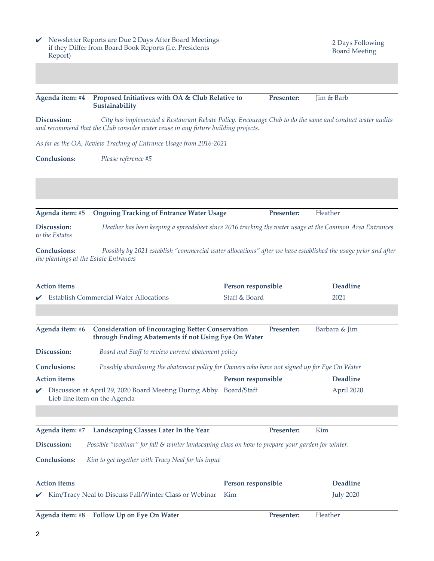| Report)                       | Newsletter Reports are Due 2 Days After Board Meetings<br>if they Differ from Board Book Reports (i.e. Presidents                                                                            |                    | 2 Days Following<br><b>Board Meeting</b> |
|-------------------------------|----------------------------------------------------------------------------------------------------------------------------------------------------------------------------------------------|--------------------|------------------------------------------|
|                               |                                                                                                                                                                                              |                    |                                          |
| Agenda item: #4               | Proposed Initiatives with OA & Club Relative to<br>Sustainability                                                                                                                            | Presenter:         | Jim & Barb                               |
| Discussion:                   | City has implemented a Restaurant Rebate Policy. Encourage Club to do the same and conduct water audits<br>and recommend that the Club consider water reuse in any future building projects. |                    |                                          |
|                               | As far as the OA, Review Tracking of Entrance Usage from 2016-2021                                                                                                                           |                    |                                          |
| <b>Conclusions:</b>           | Please reference #5                                                                                                                                                                          |                    |                                          |
|                               |                                                                                                                                                                                              |                    |                                          |
| Agenda item: #5               | <b>Ongoing Tracking of Entrance Water Usage</b>                                                                                                                                              | Presenter:         | Heather                                  |
| Discussion:<br>to the Estates | Heather has been keeping a spreadsheet since 2016 tracking the water usage at the Common Area Entrances                                                                                      |                    |                                          |
| <b>Conclusions:</b>           | Possibly by 2021 establish "commercial water allocations" after we have established the usage prior and after<br>the plantings at the Estate Entrances                                       |                    |                                          |
|                               |                                                                                                                                                                                              |                    |                                          |
| <b>Action</b> items           |                                                                                                                                                                                              | Person responsible | <b>Deadline</b>                          |
|                               | <b>Establish Commercial Water Allocations</b>                                                                                                                                                | Staff & Board      | 2021                                     |
| Agenda item: #6               | <b>Consideration of Encouraging Better Conservation</b><br>through Ending Abatements if not Using Eye On Water                                                                               | Presenter:         | Barbara & Jim                            |
| Discussion:                   | Board and Staff to review current abatement policy                                                                                                                                           |                    |                                          |
| <b>Conclusions:</b>           | Possibly abandoning the abatement policy for Owners who have not signed up for Eye On Water                                                                                                  |                    |                                          |
| <b>Action</b> items           |                                                                                                                                                                                              | Person responsible | <b>Deadline</b>                          |
|                               | Discussion at April 29, 2020 Board Meeting During Abby Board/Staff<br>Lieb line item on the Agenda                                                                                           |                    | April 2020                               |
|                               |                                                                                                                                                                                              |                    |                                          |
| Agenda item: #7               | Landscaping Classes Later In the Year                                                                                                                                                        | Presenter:         | Kim                                      |
| Discussion:                   | Possible "webinar" for fall & winter landscaping class on how to prepare your garden for winter.                                                                                             |                    |                                          |
| <b>Conclusions:</b>           | Kim to get together with Tracy Neal for his input                                                                                                                                            |                    |                                          |
| <b>Action</b> items           |                                                                                                                                                                                              | Person responsible | <b>Deadline</b>                          |
|                               | Kim/Tracy Neal to Discuss Fall/Winter Class or Webinar                                                                                                                                       | Kim                | <b>July 2020</b>                         |